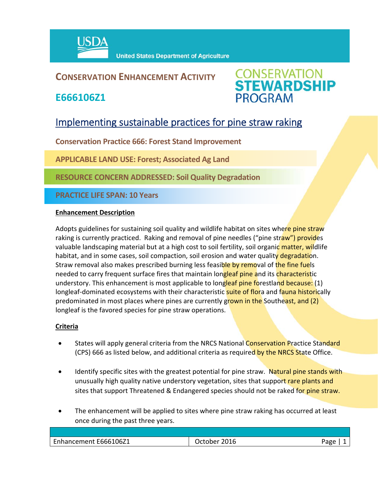

## **CONSERVATION ENHANCEMENT ACTIVITY**

**E666106Z1**



# Implementing sustainable practices for pine straw raking

**Conservation Practice 666: Forest Stand Improvement** 

**APPLICABLE LAND USE: Forest; Associated Ag Land**

**RESOURCE CONCERN ADDRESSED: Soil Quality Degradation**

**PRACTICE LIFE SPAN: 10 Years**

#### **Enhancement Description**

Adopts guidelines for sustaining soil quality and wildlife habitat on sites where pine straw raking is currently practiced. Raking and removal of pine needles ("pine straw") provides valuable landscaping material but at a high cost to soil fertility, soil organic matter, wildlife habitat, and in some cases, soil compaction, soil erosion and water quality degradation. Straw removal also makes prescribed burning less feasible by removal of the fine fuels needed to carry frequent surface fires that maintain longleaf pine and its characteristic understory. This enhancement is most applicable to longleaf pine forestland because: (1) longleaf-dominated ecosystems with their characteristic **suite of flor**a and fauna historically predominated in most places where pines are currently grown in the Southeast, and (2) longleaf is the favored species for pine straw operations.

### **Criteria**

- States will apply general criteria from the NRCS National Conservation Practice Standard (CPS) 666 as listed below, and additional criteria as required by the NRCS State Office.
- Identify specific sites with the greatest potential for pine straw. Natural pine stands with unusually high quality native understory vegetation, sites that support rare plants and sites that support Threatened & Endangered species should not be raked for pine straw.
- The enhancement will be applied to sites where pine straw raking has occurred at least once during the past three years.

| Enhancement E666106Z1 | פמני |
|-----------------------|------|
|                       |      |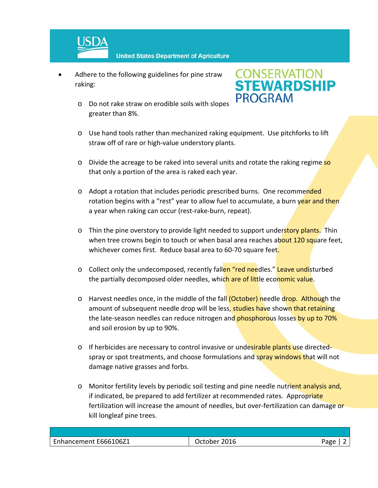

- Adhere to the following guidelines for pine straw raking:
	- o Do not rake straw on erodible soils with slopes greater than 8%.



- o Use hand tools rather than mechanized raking equipment. Use pitchforks to lift straw off of rare or high-value understory plants.
- o Divide the acreage to be raked into several units and rotate the raking regime so that only a portion of the area is raked each year.
- o Adopt a rotation that includes periodic prescribed burns. One recommended rotation begins with a "rest" year to allow fuel to accumulate, a burn year and then a year when raking can occur (rest‐rake‐burn, repeat).
- o Thin the pine overstory to provide light needed to support understory plants. Thin when tree crowns begin to touch or when basal area reaches about 120 square feet, whichever comes first. Reduce basal area to 60-70 square feet.
- o Collect only the undecomposed, recently fallen "red needles." Leave undisturbed the partially decomposed older needles, which are of little economic value.
- o Harvest needles once, in the middle of the fall (October) needle drop. Although the amount of subsequent needle drop will be less, studies have shown that retaining the late-season needles can reduce nitrogen and phosphorous losses by up to 70% and soil erosion by up to 90%.
- o If herbicides are necessary to control invasive or undesirable plants use directed– spray or spot treatments, and choose formulations and spray windows that will not damage native grasses and forbs.
- o Monitor fertility levels by periodic soil testing and pine needle nutrient analysis and, if indicated, be prepared to add fertilizer at recommended rates. Appropriate fertilization will increase the amount of needles, but over-fertilization can damage or kill longleaf pine trees.

| Enhancement E666106Z1 | 2016<br>Jctober | App |
|-----------------------|-----------------|-----|
|                       |                 |     |